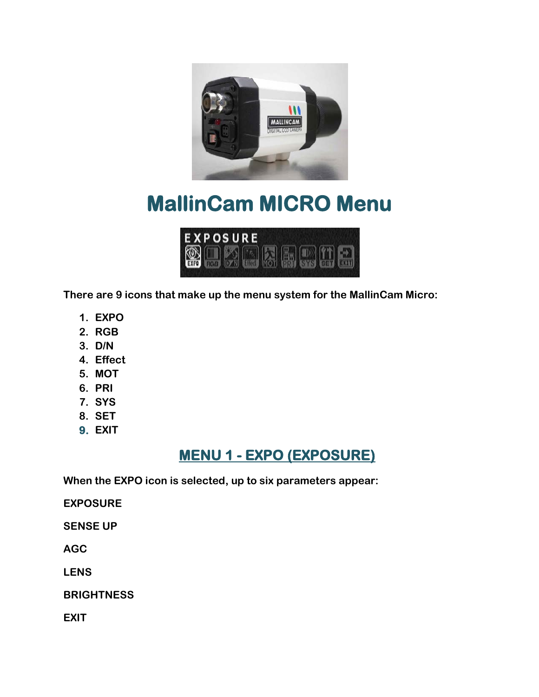

# **MallinCam MICRO Menu**



**There are 9 icons that make up the menu system for the MallinCam Micro:**

- **1. EXPO**
- **2. RGB**
- **3. D/N**
- **4. Effect**
- **5. MOT**
- **6. PRI**
- **7. SYS**
- **8. SET**
- **9. EXIT**

## **MENU 1 - EXPO (EXPOSURE)**

**When the EXPO icon is selected, up to six parameters appear:**

**EXPOSURE**

**SENSE UP**

**AGC**

**LENS**

**BRIGHTNESS**

**EXIT**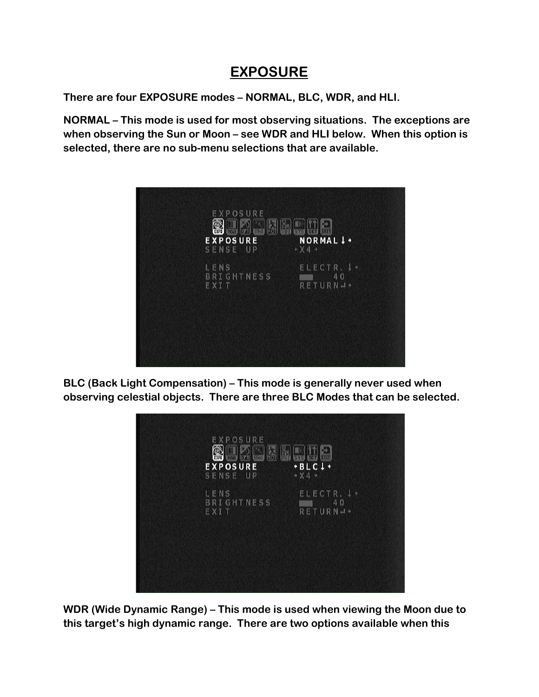#### **EXPOSURE**

**There are four EXPOSURE modes – NORMAL, BLC, WDR, and HLI.**

**NORMAL – This mode is used for most observing situations. The exceptions are when observing the Sun or Moon – see WDR and HLI below. When this option is selected, there are no sub-menu selections that are available.**



**BLC (Back Light Compensation) – This mode is generally never used when observing celestial objects. There are three BLC Modes that can be selected.**



**WDR (Wide Dynamic Range) – This mode is used when viewing the Moon due to this target's high dynamic range. There are two options available when this**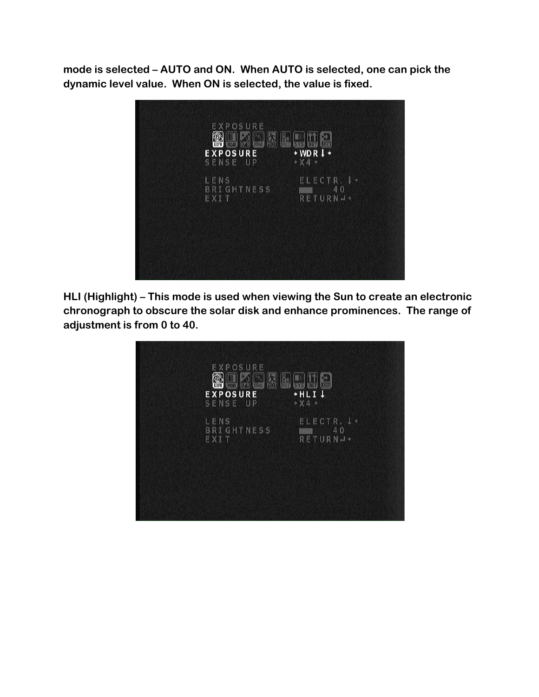**mode is selected – AUTO and ON. When AUTO is selected, one can pick the dynamic level value. When ON is selected, the value is fixed.**



**HLI (Highlight) – This mode is used when viewing the Sun to create an electronic chronograph to obscure the solar disk and enhance prominences. The range of adjustment is from 0 to 40.**

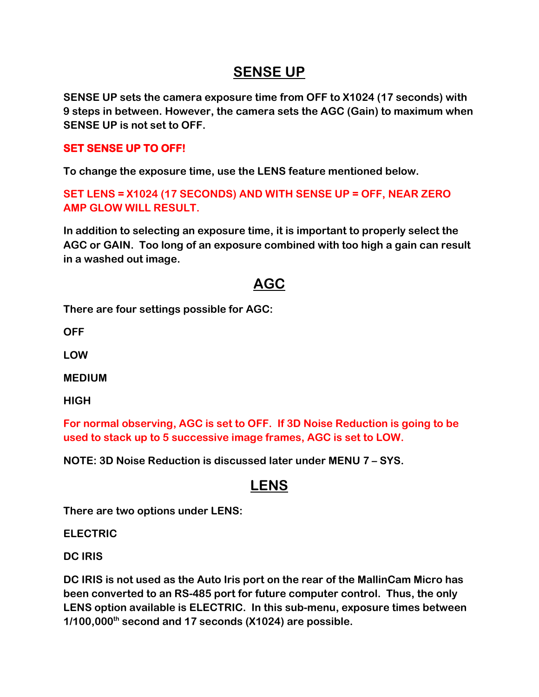#### **SENSE UP**

**SENSE UP sets the camera exposure time from OFF to X1024 (17 seconds) with 9 steps in between. However, the camera sets the AGC (Gain) to maximum when SENSE UP is not set to OFF.** 

#### **SET SENSE UP TO OFF!**

**To change the exposure time, use the LENS feature mentioned below.** 

**SET LENS = X1024 (17 SECONDS) AND WITH SENSE UP = OFF, NEAR ZERO AMP GLOW WILL RESULT.**

**In addition to selecting an exposure time, it is important to properly select the AGC or GAIN. Too long of an exposure combined with too high a gain can result in a washed out image.** 

#### **AGC**

**There are four settings possible for AGC:**

**OFF**

**LOW**

**MEDIUM**

**HIGH**

**For normal observing, AGC is set to OFF. If 3D Noise Reduction is going to be used to stack up to 5 successive image frames, AGC is set to LOW.** 

**NOTE: 3D Noise Reduction is discussed later under MENU 7 – SYS.** 

#### **LENS**

**There are two options under LENS:**

**ELECTRIC**

**DC IRIS**

**DC IRIS is not used as the Auto Iris port on the rear of the MallinCam Micro has been converted to an RS-485 port for future computer control. Thus, the only LENS option available is ELECTRIC. In this sub-menu, exposure times between 1/100,000th second and 17 seconds (X1024) are possible.**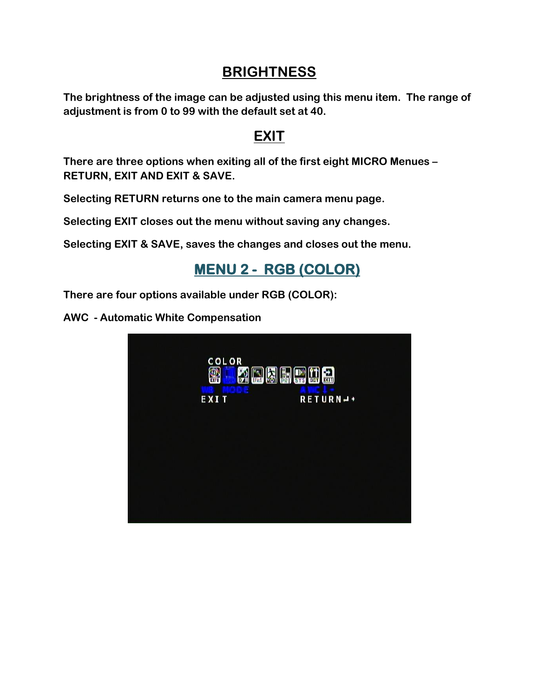#### **BRIGHTNESS**

**The brightness of the image can be adjusted using this menu item. The range of adjustment is from 0 to 99 with the default set at 40.**

#### **EXIT**

**There are three options when exiting all of the first eight MICRO Menues – RETURN, EXIT AND EXIT & SAVE.** 

**Selecting RETURN returns one to the main camera menu page.**

**Selecting EXIT closes out the menu without saving any changes.**

**Selecting EXIT & SAVE, saves the changes and closes out the menu.**

## **MENU 2 - RGB (COLOR)**

**There are four options available under RGB (COLOR):**

**AWC - Automatic White Compensation**

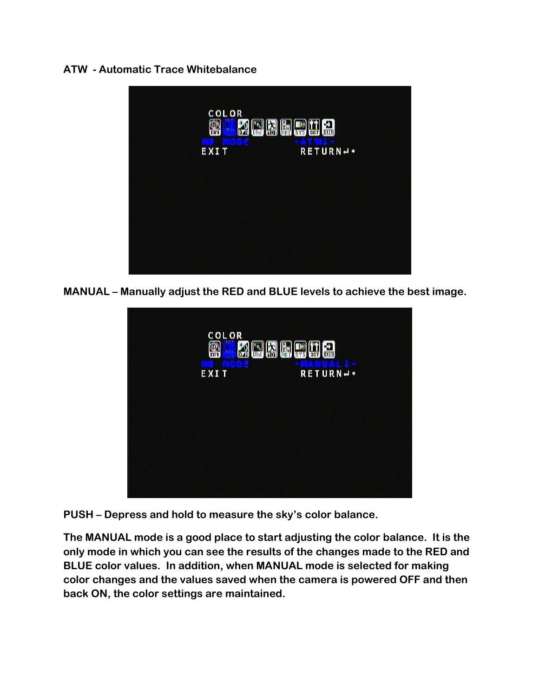#### **ATW - Automatic Trace Whitebalance**



**MANUAL – Manually adjust the RED and BLUE levels to achieve the best image.** 



**PUSH – Depress and hold to measure the sky's color balance.**

**The MANUAL mode is a good place to start adjusting the color balance. It is the only mode in which you can see the results of the changes made to the RED and BLUE color values. In addition, when MANUAL mode is selected for making color changes and the values saved when the camera is powered OFF and then back ON, the color settings are maintained.**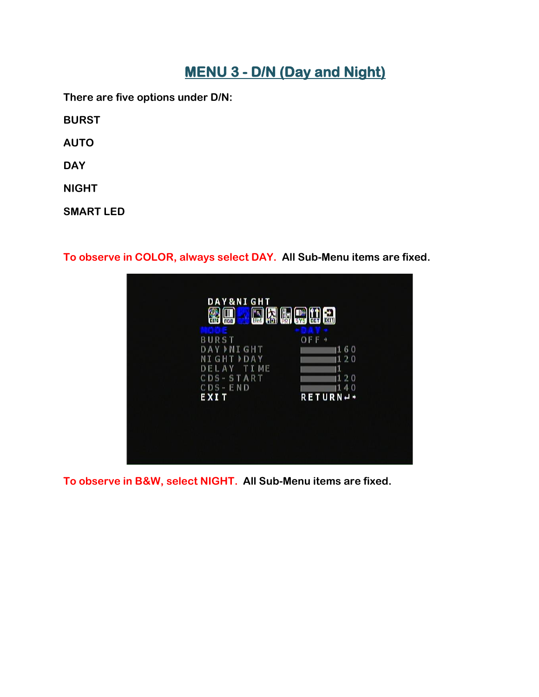# **MENU 3 - D/N (Day and Night)**

**There are five options under D/N:**

**BURST**

**AUTO**

**DAY**

**NIGHT**

**SMART LED**

**To observe in COLOR, always select DAY. All Sub-Menu items are fixed.**

| <b>DAY&amp;NIGHT</b><br>ω,<br>$\blacksquare$<br>Ð<br><b>BET EXIT</b><br>non<br><b>EXTO</b><br>Effec<br>SYS     |                                                                      |
|----------------------------------------------------------------------------------------------------------------|----------------------------------------------------------------------|
| <b>BURST</b><br>DAY MI GHT<br>NI GHT<br><b>DAY</b><br>DEL<br>A Y<br>START<br>$CDS -$<br>END<br>$CDS -$<br>EXIT | OFF<br>160<br>120<br>T I ME<br>11<br>1.20<br>1.40<br><b>RETURN-+</b> |
|                                                                                                                |                                                                      |

**To observe in B&W, select NIGHT. All Sub-Menu items are fixed.**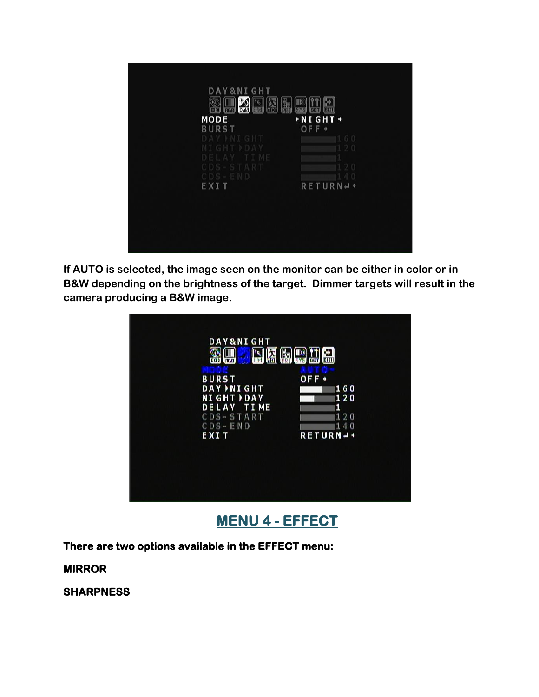

**If AUTO is selected, the image seen on the monitor can be either in color or in B&W depending on the brightness of the target. Dimmer targets will result in the camera producing a B&W image.**



**MENU 4 - EFFECT** 

**There are two options available in the EFFECT menu:** 

**MIRROR** 

**SHARPNESS**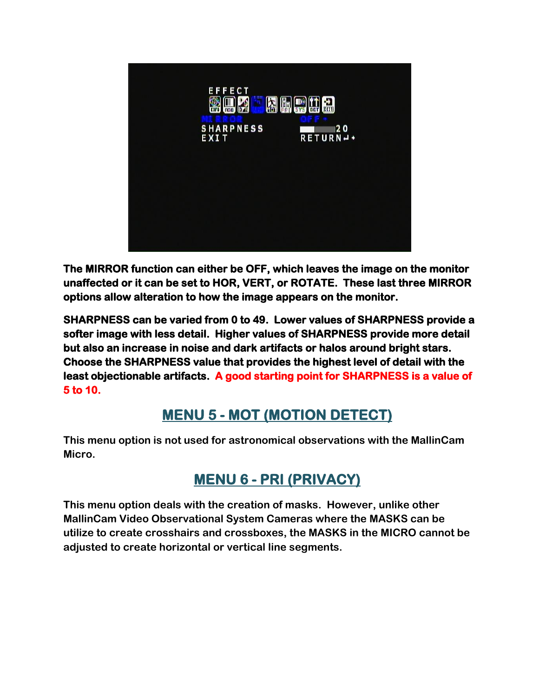

**The MIRROR function can either be OFF, which leaves the image on the monitor unaffected or it can be set to HOR, VERT, or ROTATE. These last three MIRROR options allow alteration to how the image appears on the monitor.** 

**SHARPNESS can be varied from 0 to 49. Lower values of SHARPNESS provide a softer image with less detail. Higher values of SHARPNESS provide more detail but also an increase in noise and dark artifacts or halos around bright stars. Choose the SHARPNESS value that provides the highest level of detail with the least objectionable artifacts. A good starting point for SHARPNESS is a value of 5 to 10.** 

## **MENU 5 - MOT (MOTION DETECT)**

**This menu option is not used for astronomical observations with the MallinCam Micro.**

## **MENU 6 - PRI (PRIVACY)**

**This menu option deals with the creation of masks. However, unlike other MallinCam Video Observational System Cameras where the MASKS can be utilize to create crosshairs and crossboxes, the MASKS in the MICRO cannot be adjusted to create horizontal or vertical line segments.**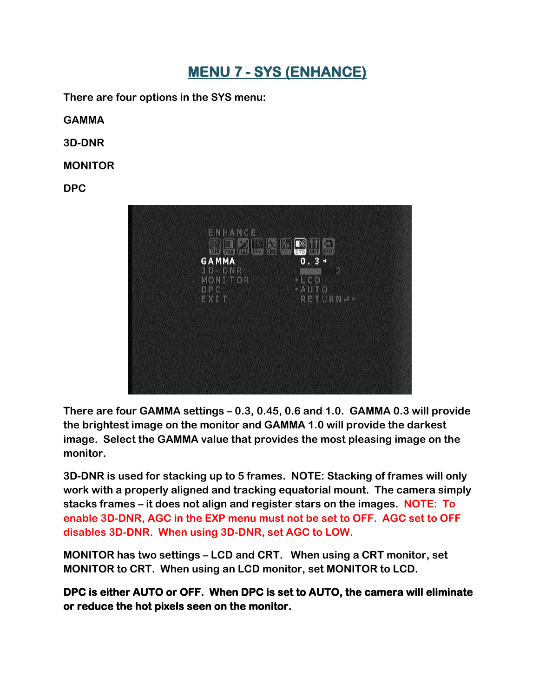## **MENU 7 - SYS (ENHANCE)**

**There are four options in the SYS menu:**

**GAMMA**

**3D-DNR**

**MONITOR**

**DPC**



**There are four GAMMA settings – 0.3, 0.45, 0.6 and 1.0. GAMMA 0.3 will provide the brightest image on the monitor and GAMMA 1.0 will provide the darkest image. Select the GAMMA value that provides the most pleasing image on the monitor.**

**3D-DNR is used for stacking up to 5 frames. NOTE: Stacking of frames will only work with a properly aligned and tracking equatorial mount. The camera simply stacks frames – it does not align and register stars on the images. NOTE: To enable 3D-DNR, AGC in the EXP menu must not be set to OFF. AGC set to OFF disables 3D-DNR. When using 3D-DNR, set AGC to LOW.**

**MONITOR has two settings – LCD and CRT. When using a CRT monitor, set MONITOR to CRT. When using an LCD monitor, set MONITOR to LCD.**

**DPC is either AUTO or OFF. When DPC is set to AUTO, the camera will eliminate or reduce the hot pixels seen on the monitor.**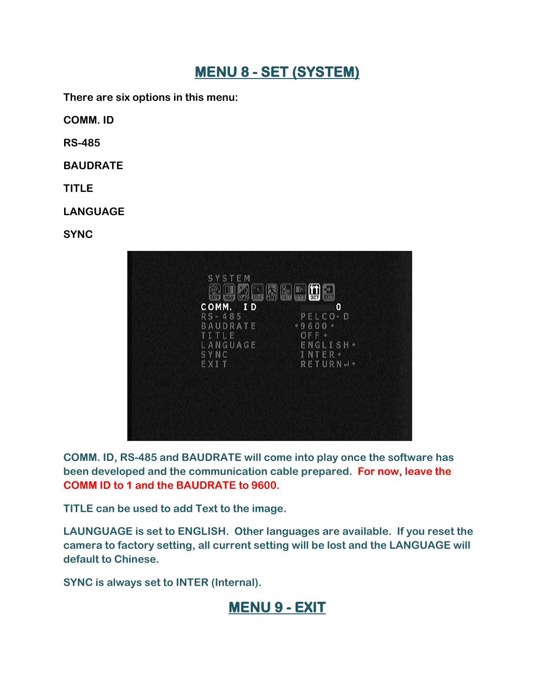## **MENU 8 - SET (SYSTEM)**

**There are six options in this menu:**

**COMM. ID**

**RS-485**

**BAUDRATE**

**TITLE**

**LANGUAGE**

**SYNC**



**COMM. ID, RS-485 and BAUDRATE will come into play once the software has been developed and the communication cable prepared. For now, leave the COMM ID to 1 and the BAUDRATE to 9600.**

**TITLE can be used to add Text to the image.**

**LAUNGUAGE is set to ENGLISH. Other languages are available. If you reset the camera to factory setting, all current setting will be lost and the LANGUAGE will default to Chinese.**

**SYNC is always set to INTER (Internal).**